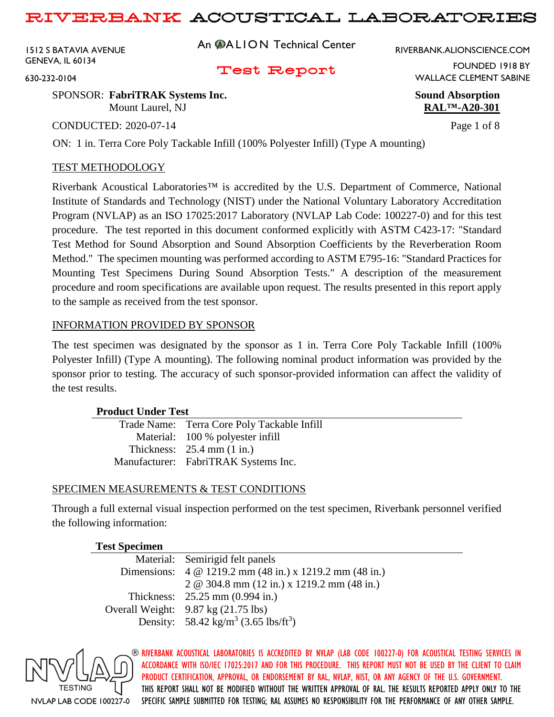1512 S BATAVIA AVENUE GENEVA, IL 60134

630-232-0104

An **@ALION** Technical Center

RIVERBANK.ALIONSCIENCE.COM

Test Report

FOUNDED 1918 BY WALLACE CLEMENT SABINE

SPONSOR: **FabriTRAK Systems Inc. Sound Absorption** Mount Laurel, NJ **RAL<sup>TM</sup>-A20-301** 

CONDUCTED: 2020-07-14 Page 1 of 8

ON: 1 in. Terra Core Poly Tackable Infill (100% Polyester Infill) (Type A mounting)

## TEST METHODOLOGY

Riverbank Acoustical Laboratories™ is accredited by the U.S. Department of Commerce, National Institute of Standards and Technology (NIST) under the National Voluntary Laboratory Accreditation Program (NVLAP) as an ISO 17025:2017 Laboratory (NVLAP Lab Code: 100227-0) and for this test procedure. The test reported in this document conformed explicitly with ASTM C423-17: "Standard Test Method for Sound Absorption and Sound Absorption Coefficients by the Reverberation Room Method." The specimen mounting was performed according to ASTM E795-16: "Standard Practices for Mounting Test Specimens During Sound Absorption Tests." A description of the measurement procedure and room specifications are available upon request. The results presented in this report apply to the sample as received from the test sponsor.

### INFORMATION PROVIDED BY SPONSOR

The test specimen was designated by the sponsor as 1 in. Terra Core Poly Tackable Infill (100% Polyester Infill) (Type A mounting). The following nominal product information was provided by the sponsor prior to testing. The accuracy of such sponsor-provided information can affect the validity of the test results.

### **Product Under Test**

| Trade Name: Terra Core Poly Tackable Infill |
|---------------------------------------------|
| Material: 100 % polyester infill            |
| Thickness: $25.4$ mm $(1 \text{ in.})$      |
| Manufacturer: FabriTRAK Systems Inc.        |

## SPECIMEN MEASUREMENTS & TEST CONDITIONS

Through a full external visual inspection performed on the test specimen, Riverbank personnel verified the following information:

| <b>Test Specimen</b> |                                                                |
|----------------------|----------------------------------------------------------------|
|                      | Material: Semirigid felt panels                                |
|                      | Dimensions: 4 @ 1219.2 mm (48 in.) x 1219.2 mm (48 in.)        |
|                      | 2 @ 304.8 mm $(12 \text{ in.})$ x 1219.2 mm $(48 \text{ in.})$ |
|                      | Thickness: 25.25 mm (0.994 in.)                                |
|                      | Overall Weight: $9.87 \text{ kg} (21.75 \text{ lbs})$          |
|                      | Density: 58.42 kg/m <sup>3</sup> (3.65 lbs/ft <sup>3</sup> )   |

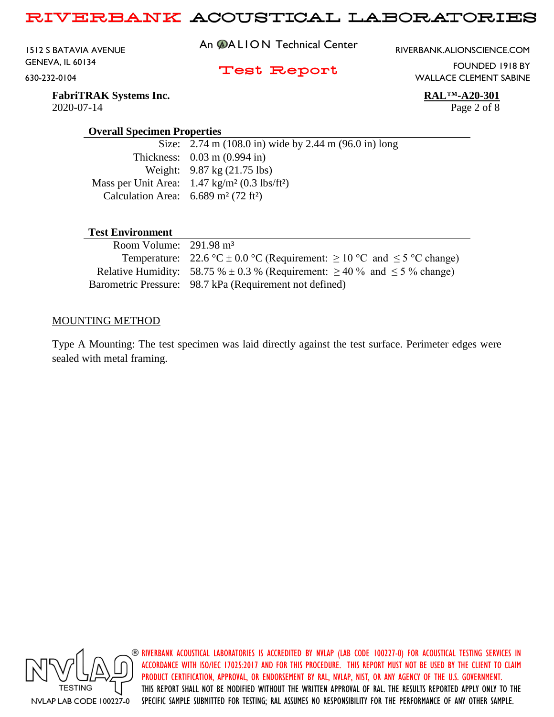1512 S BATAVIA AVENUE GENEVA, IL 60134 630-232-0104

An **@ALION** Technical Center

RIVERBANK.ALIONSCIENCE.COM

### Test Report

WALLACE CLEMENT SABINE

**FabriTRAK Systems Inc. RAL™-A20-301** 2020-07-14 Page 2 of 8

FOUNDED 1918 BY

#### **Overall Specimen Properties**

Size: 2.74 m (108.0 in) wide by 2.44 m (96.0 in) long Thickness: 0.03 m (0.994 in) Weight: 9.87 kg (21.75 lbs) Mass per Unit Area: 1.47 kg/m² (0.3 lbs/ft²) Calculation Area:  $6.689 \text{ m}^2 (72 \text{ ft}^2)$ 

## **Test Environment**

| Room Volume: $291.98 \text{ m}^3$ |                                                                                         |
|-----------------------------------|-----------------------------------------------------------------------------------------|
|                                   | Temperature: 22.6 °C $\pm$ 0.0 °C (Requirement: $\geq$ 10 °C and $\leq$ 5 °C change)    |
|                                   | Relative Humidity: 58.75 % $\pm$ 0.3 % (Requirement: $\geq$ 40 % and $\leq$ 5 % change) |
|                                   | Barometric Pressure: 98.7 kPa (Requirement not defined)                                 |

#### MOUNTING METHOD

Type A Mounting: The test specimen was laid directly against the test surface. Perimeter edges were sealed with metal framing.

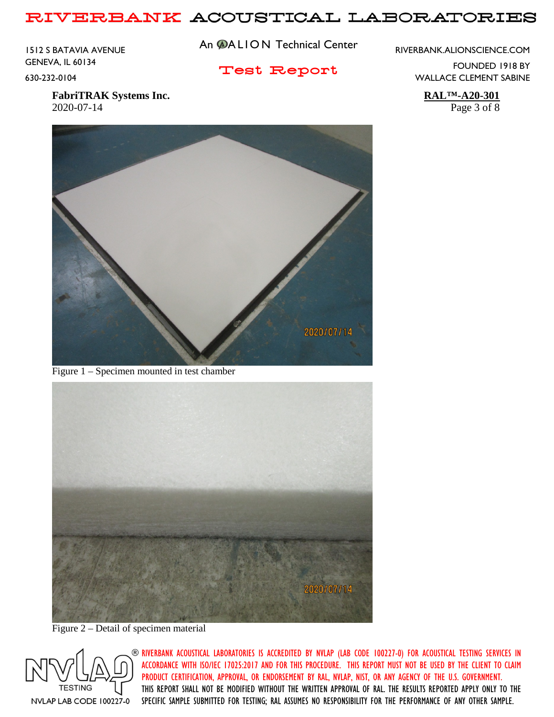1512 S BATAVIA AVENUE GENEVA, IL 60134 630-232-0104

An **@ALION** Technical Center

Test Report

RIVERBANK.ALIONSCIENCE.COM

FOUNDED 1918 BY WALLACE CLEMENT SABINE

**FabriTRAK Systems Inc. RAL™-A20-301** 2020-07-14 Page 3 of 8



Figure 1 – Specimen mounted in test chamber



Figure 2 – Detail of specimen material

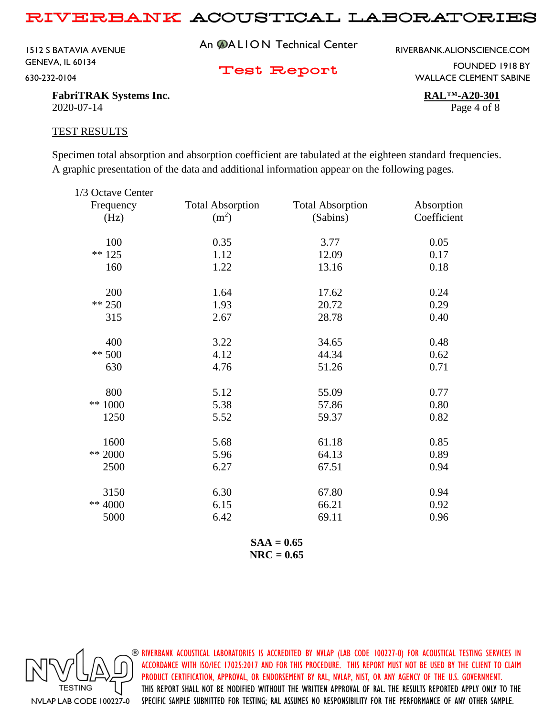1512 S BATAVIA AVENUE GENEVA, IL 60134 630-232-0104

An **@ALION** Technical Center

RIVERBANK.ALIONSCIENCE.COM

Test Report

FOUNDED 1918 BY WALLACE CLEMENT SABINE

**FabriTRAK Systems Inc. RAL™-A20-301** 2020-07-14 Page 4 of 8

#### TEST RESULTS

Specimen total absorption and absorption coefficient are tabulated at the eighteen standard frequencies. A graphic presentation of the data and additional information appear on the following pages.

| 1/3 Octave Center |                         |                         |             |
|-------------------|-------------------------|-------------------------|-------------|
| Frequency         | <b>Total Absorption</b> | <b>Total Absorption</b> | Absorption  |
| (Hz)              | (m <sup>2</sup> )       | (Sabins)                | Coefficient |
| 100               | 0.35                    | 3.77                    | 0.05        |
| $** 125$          | 1.12                    | 12.09                   | 0.17        |
| 160               | 1.22                    | 13.16                   | 0.18        |
| 200               | 1.64                    | 17.62                   | 0.24        |
| $** 250$          | 1.93                    | 20.72                   | 0.29        |
| 315               | 2.67                    | 28.78                   | 0.40        |
| 400               | 3.22                    | 34.65                   | 0.48        |
| $** 500$          | 4.12                    | 44.34                   | 0.62        |
| 630               | 4.76                    | 51.26                   | 0.71        |
| 800               | 5.12                    | 55.09                   | 0.77        |
| ** 1000           | 5.38                    | 57.86                   | 0.80        |
| 1250              | 5.52                    | 59.37                   | 0.82        |
| 1600              | 5.68                    | 61.18                   | 0.85        |
| ** 2000           | 5.96                    | 64.13                   | 0.89        |
| 2500              | 6.27                    | 67.51                   | 0.94        |
| 3150              | 6.30                    | 67.80                   | 0.94        |
| ** 4000           | 6.15                    | 66.21                   | 0.92        |
| 5000              | 6.42                    | 69.11                   | 0.96        |
|                   |                         |                         |             |

**SAA = 0.65 NRC = 0.65**

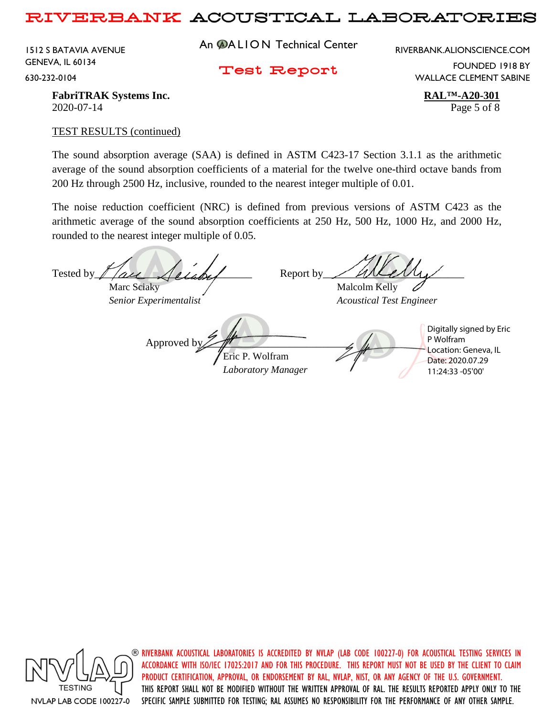1512 S BATAVIA AVENUE GENEVA, IL 60134 630-232-0104

An **@ALION** Technical Center

RIVERBANK.ALIONSCIENCE.COM

Test Report

FOUNDED 1918 BY WALLACE CLEMENT SABINE

**FabriTRAK Systems Inc. RAL<sup>TM</sup>-A20-301** 2020-07-14 Page 5 of 8

#### TEST RESULTS (continued)

The sound absorption average (SAA) is defined in ASTM C423-17 Section 3.1.1 as the arithmetic average of the sound absorption coefficients of a material for the twelve one-third octave bands from 200 Hz through 2500 Hz, inclusive, rounded to the nearest integer multiple of 0.01.

The noise reduction coefficient (NRC) is defined from previous versions of ASTM C423 as the arithmetic average of the sound absorption coefficients at 250 Hz, 500 Hz, 1000 Hz, and 2000 Hz, rounded to the nearest integer multiple of 0.05.

Tested by  $\ell$  are  $\ell$  and  $\ell$  Report by Marc Sciaky / Malcolm Kelly *Senior Experimentalist Acoustical Test Engineer* Approved b Eric P. Wolfram *Laboratory Manager* Digitally signed by Eric P Wolfram Location: Geneva, IL Date: 2020.07.29 11:24:33 -05'00'



 $\circledast$  riverbank acoustical laboratories is accredited by nylap (lab code 100227-0) for acoustical testing services in ACCORDANCE WITH ISO/IEC 17025:2017 AND FOR THIS PROCEDURE. THIS REPORT MUST NOT BE USED BY THE CLIENT TO CLAIM PRODUCT CERTIFICATION, APPROVAL, OR ENDORSEMENT BY RAL, NVLAP, NIST, OR ANY AGENCY OF THE U.S. GOVERNMENT. THIS REPORT SHALL NOT BE MODIFIED WITHOUT THE WRITTEN APPROVAL OF RAL. THE RESULTS REPORTED APPLY ONLY TO THE SPECIFIC SAMPLE SUBMITTED FOR TESTING; RAL ASSUMES NO RESPONSIBILITY FOR THE PERFORMANCE OF ANY OTHER SAMPLE.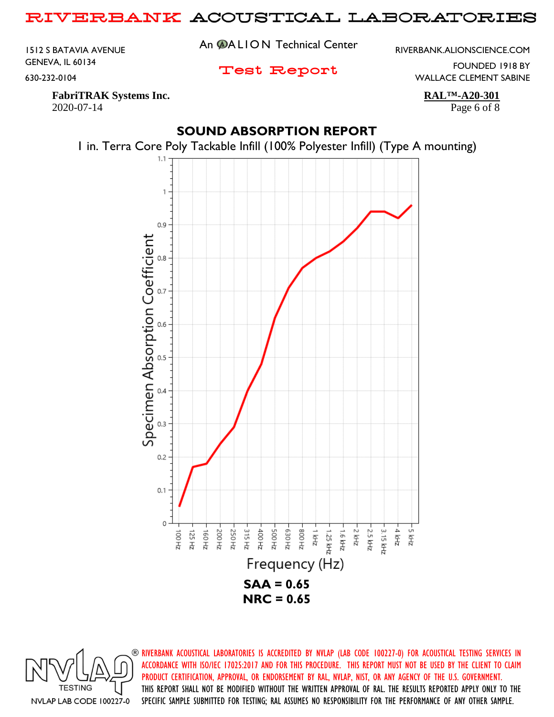1512 S BATAVIA AVENUE GENEVA, IL 60134 630-232-0104

An **@ALION** Technical Center

Test Report

RIVERBANK.ALIONSCIENCE.COM

FOUNDED 1918 BY WALLACE CLEMENT SABINE

**FabriTRAK Systems Inc. RAL<sup>TM</sup>-A20-301** 2020-07-14 Page 6 of 8

## **SOUND ABSORPTION REPORT**





**TESTING** NVLAP LAB CODE 100227-0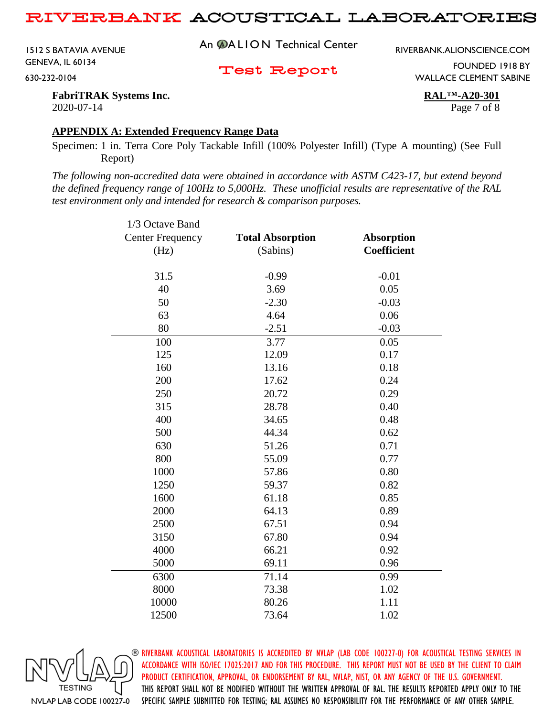1512 S BATAVIA AVENUE GENEVA, IL 60134 630-232-0104

An **@ALION** Technical Center

RIVERBANK.ALIONSCIENCE.COM

Test Report

FOUNDED 1918 BY WALLACE CLEMENT SABINE

**FabriTRAK Systems Inc. RAL™-A20-301** 2020-07-14 Page 7 of 8

#### **APPENDIX A: Extended Frequency Range Data**

Specimen: 1 in. Terra Core Poly Tackable Infill (100% Polyester Infill) (Type A mounting) (See Full Report)

*The following non-accredited data were obtained in accordance with ASTM C423-17, but extend beyond the defined frequency range of 100Hz to 5,000Hz. These unofficial results are representative of the RAL test environment only and intended for research & comparison purposes.* 

| 1/3 Octave Band         |                         |                    |
|-------------------------|-------------------------|--------------------|
| <b>Center Frequency</b> | <b>Total Absorption</b> | <b>Absorption</b>  |
| (Hz)                    | (Sabins)                | <b>Coefficient</b> |
|                         |                         |                    |
| 31.5                    | $-0.99$                 | $-0.01$            |
| 40                      | 3.69                    | 0.05               |
| 50                      | $-2.30$                 | $-0.03$            |
| 63                      | 4.64                    | 0.06               |
| 80                      | $-2.51$                 | $-0.03$            |
| 100                     | 3.77                    | 0.05               |
| 125                     | 12.09                   | 0.17               |
| 160                     | 13.16                   | 0.18               |
| 200                     | 17.62                   | 0.24               |
| 250                     | 20.72                   | 0.29               |
| 315                     | 28.78                   | 0.40               |
| 400                     | 34.65                   | 0.48               |
| 500                     | 44.34                   | 0.62               |
| 630                     | 51.26                   | 0.71               |
| 800                     | 55.09                   | 0.77               |
| 1000                    | 57.86                   | 0.80               |
| 1250                    | 59.37                   | 0.82               |
| 1600                    | 61.18                   | 0.85               |
| 2000                    | 64.13                   | 0.89               |
| 2500                    | 67.51                   | 0.94               |
| 3150                    | 67.80                   | 0.94               |
| 4000                    | 66.21                   | 0.92               |
| 5000                    | 69.11                   | 0.96               |
| 6300                    | 71.14                   | 0.99               |
| 8000                    | 73.38                   | 1.02               |
| 10000                   | 80.26                   | 1.11               |
| 12500                   | 73.64                   | 1.02               |